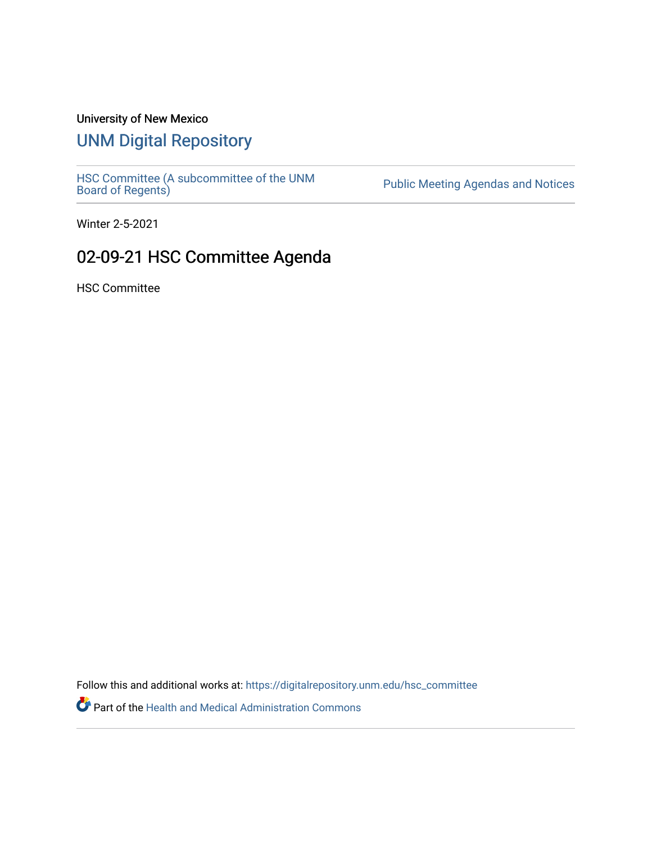## University of New Mexico

## [UNM Digital Repository](https://digitalrepository.unm.edu/)

[HSC Committee \(A subcommittee of the UNM](https://digitalrepository.unm.edu/hsc_committee) Public Meeting Agendas and Notices<br>[Board of Regents\)](https://digitalrepository.unm.edu/hsc_committee)

Winter 2-5-2021

## 02-09-21 HSC Committee Agenda

HSC Committee

Follow this and additional works at: [https://digitalrepository.unm.edu/hsc\\_committee](https://digitalrepository.unm.edu/hsc_committee?utm_source=digitalrepository.unm.edu%2Fhsc_committee%2F295&utm_medium=PDF&utm_campaign=PDFCoverPages) 

Part of the [Health and Medical Administration Commons](http://network.bepress.com/hgg/discipline/663?utm_source=digitalrepository.unm.edu%2Fhsc_committee%2F295&utm_medium=PDF&utm_campaign=PDFCoverPages)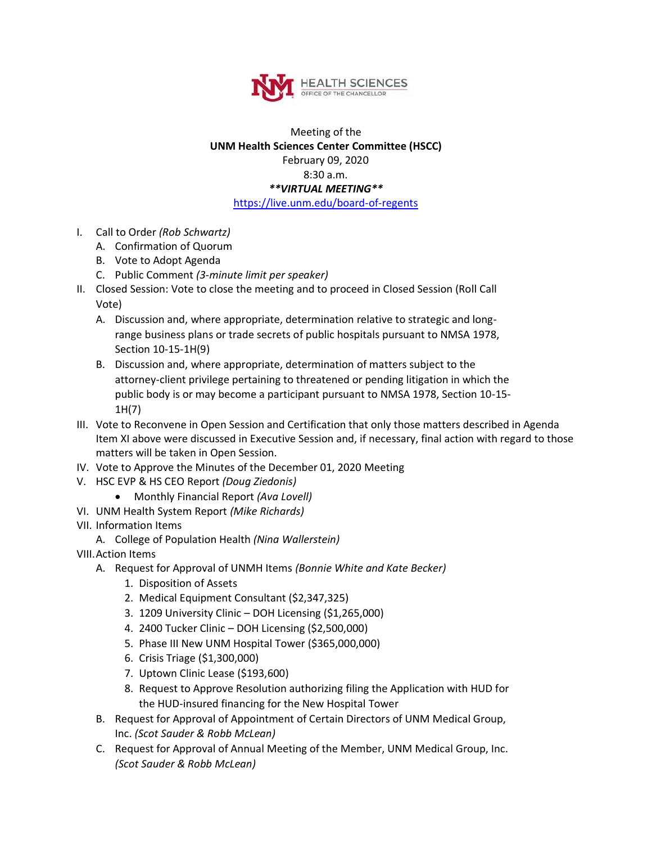

## Meeting of the **UNM Health Sciences Center Committee (HSCC)** February 09, 2020 8:30 a.m. *\*\*VIRTUAL MEETING\*\** <https://live.unm.edu/board-of-regents>

- I. Call to Order *(Rob Schwartz)*
	- A. Confirmation of Quorum
	- B. Vote to Adopt Agenda
	- C. Public Comment *(3-minute limit per speaker)*
- II. Closed Session: Vote to close the meeting and to proceed in Closed Session (Roll Call Vote)
	- A. Discussion and, where appropriate, determination relative to strategic and longrange business plans or trade secrets of public hospitals pursuant to NMSA 1978, Section 10-15-1H(9)
	- B. Discussion and, where appropriate, determination of matters subject to the attorney-client privilege pertaining to threatened or pending litigation in which the public body is or may become a participant pursuant to NMSA 1978, Section 10-15- 1H(7)
- III. Vote to Reconvene in Open Session and Certification that only those matters described in Agenda Item XI above were discussed in Executive Session and, if necessary, final action with regard to those matters will be taken in Open Session.
- IV. Vote to Approve the Minutes of the December 01, 2020 Meeting
- V. HSC EVP & HS CEO Report *(Doug Ziedonis)*
	- Monthly Financial Report *(Ava Lovell)*
- VI. UNM Health System Report *(Mike Richards)*
- VII. Information Items
	- A. College of Population Health *(Nina Wallerstein)*
- VIII.Action Items
	- A. Request for Approval of UNMH Items *(Bonnie White and Kate Becker)*
		- 1. Disposition of Assets
		- 2. Medical Equipment Consultant (\$2,347,325)
		- 3. 1209 University Clinic DOH Licensing (\$1,265,000)
		- 4. 2400 Tucker Clinic DOH Licensing (\$2,500,000)
		- 5. Phase III New UNM Hospital Tower (\$365,000,000)
		- 6. Crisis Triage (\$1,300,000)
		- 7. Uptown Clinic Lease (\$193,600)
		- 8. Request to Approve Resolution authorizing filing the Application with HUD for the HUD-insured financing for the New Hospital Tower
	- B. Request for Approval of Appointment of Certain Directors of UNM Medical Group, Inc. *(Scot Sauder & Robb McLean)*
	- C. Request for Approval of Annual Meeting of the Member, UNM Medical Group, Inc. *(Scot Sauder & Robb McLean)*